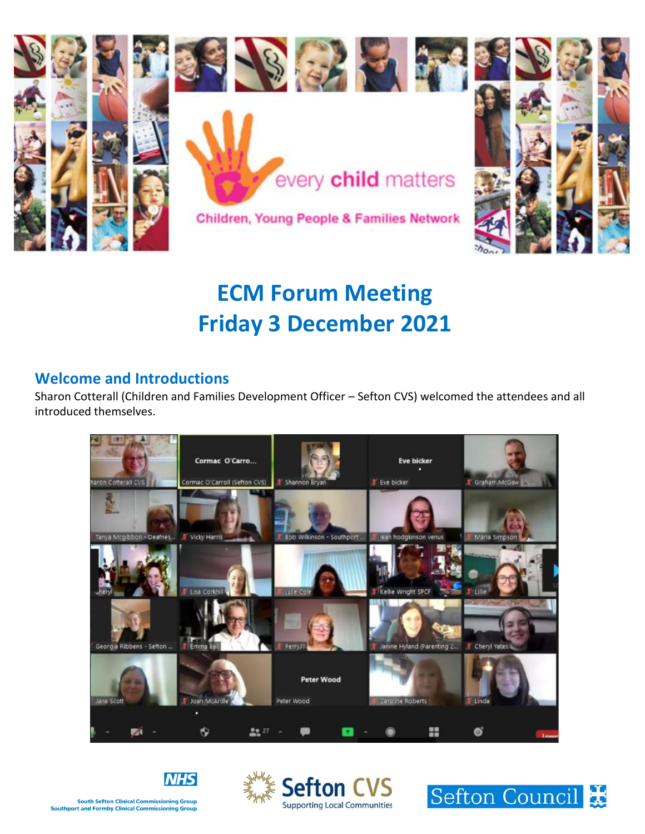

# **ECM Forum Meeting Friday 3 December 2021**

## **Welcome and Introductions**

Sharon Cotterall (Children and Families Development Officer – Sefton CVS) welcomed the attendees and all introduced themselves.







**NHS**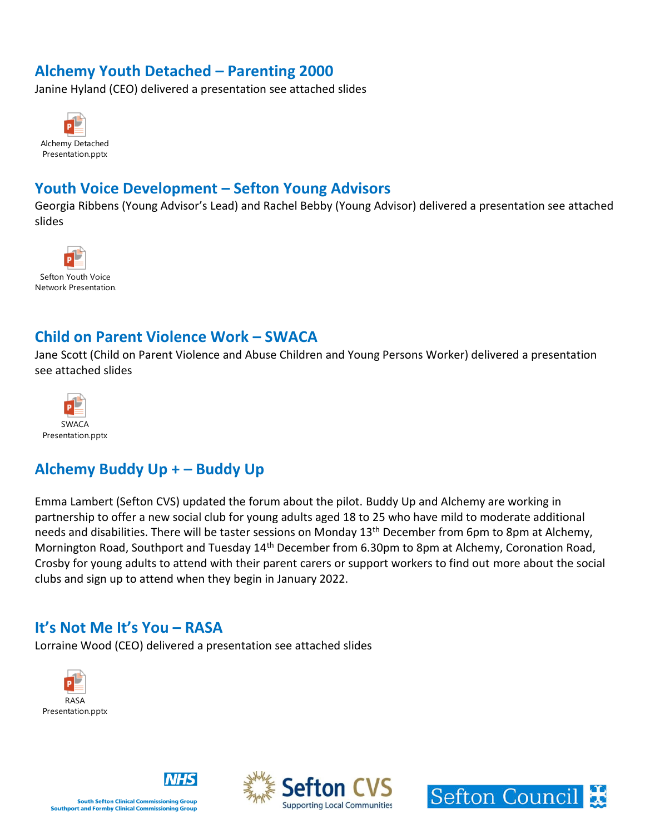## **Alchemy Youth Detached – Parenting 2000**

Janine Hyland (CEO) delivered a presentation see attached slides



## **Youth Voice Development – Sefton Young Advisors**

Georgia Ribbens (Young Advisor's Lead) and Rachel Bebby (Young Advisor) delivered a presentation see attached slides



#### **Child on Parent Violence Work – SWACA**

Jane Scott (Child on Parent Violence and Abuse Children and Young Persons Worker) delivered a presentation see attached slides



# **Alchemy Buddy Up + – Buddy Up**

Emma Lambert (Sefton CVS) updated the forum about the pilot. Buddy Up and Alchemy are working in partnership to offer a new social club for young adults aged 18 to 25 who have mild to moderate additional needs and disabilities. There will be taster sessions on Monday 13<sup>th</sup> December from 6pm to 8pm at Alchemy, Mornington Road, Southport and Tuesday 14<sup>th</sup> December from 6.30pm to 8pm at Alchemy, Coronation Road, Crosby for young adults to attend with their parent carers or support workers to find out more about the social clubs and sign up to attend when they begin in January 2022.

#### **It's Not Me It's You – RASA**

Lorraine Wood (CEO) delivered a presentation see attached slides